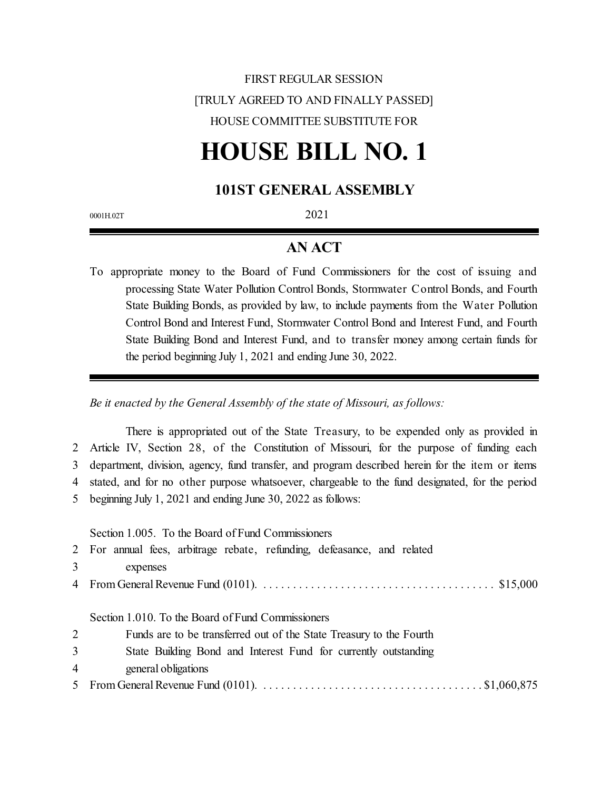## FIRST REGULAR SESSION [TRULY AGREED TO AND FINALLY PASSED] HOUSE COMMITTEE SUBSTITUTE FOR

# **HOUSE BILL NO. 1**

## **101ST GENERAL ASSEMBLY**

0001H.02T 2021

## **AN ACT**

To appropriate money to the Board of Fund Commissioners for the cost of issuing and processing State Water Pollution Control Bonds, Stormwater Control Bonds, and Fourth State Building Bonds, as provided by law, to include payments from the Water Pollution Control Bond and Interest Fund, Stormwater Control Bond and Interest Fund, and Fourth State Building Bond and Interest Fund, and to transfer money among certain funds for the period beginning July 1, 2021 and ending June 30, 2022.

*Be it enacted by the General Assembly of the state of Missouri, as follows:*

There is appropriated out of the State Treasury, to be expended only as provided in Article IV, Section 28, of the Constitution of Missouri, for the purpose of funding each department, division, agency, fund transfer, and program described herein for the item or items stated, and for no other purpose whatsoever, chargeable to the fund designated, for the period beginning July 1, 2021 and ending June 30, 2022 as follows:

Section 1.005. To the Board of Fund Commissioners

| 2 For annual fees, arbitrage rebate, refunding, defeasance, and related |  |  |  |  |
|-------------------------------------------------------------------------|--|--|--|--|
| expenses                                                                |  |  |  |  |
|                                                                         |  |  |  |  |

Section 1.010. To the Board of Fund Commissioners

|  | Funds are to be transferred out of the State Treasury to the Fourth |  |
|--|---------------------------------------------------------------------|--|
|  |                                                                     |  |

|  |  |  |  | State Building Bond and Interest Fund for currently outstanding |
|--|--|--|--|-----------------------------------------------------------------|
|  |  |  |  |                                                                 |

- 4 general obligations
- 5 From General Revenue Fund (0101). . . . . . . . . . . . . . . . . . . . . . . . . . . . . . . . . . . . . . \$1,060,875